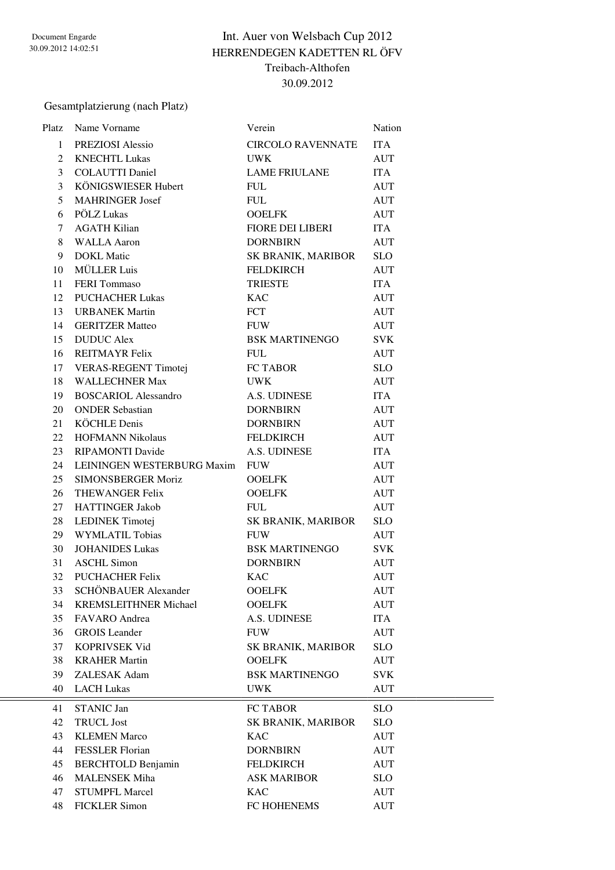## Int. Auer von Welsbach Cup 2012 HERRENDEGEN KADETTEN RL ÖFV Treibach-Althofen 30.09.2012

Gesamtplatzierung (nach Platz)

| Platz | Name Vorname                 | Verein                    | Nation     |
|-------|------------------------------|---------------------------|------------|
| 1     | PREZIOSI Alessio             | <b>CIRCOLO RAVENNATE</b>  | <b>ITA</b> |
| 2     | <b>KNECHTL Lukas</b>         | <b>UWK</b>                | <b>AUT</b> |
| 3     | <b>COLAUTTI Daniel</b>       | <b>LAME FRIULANE</b>      | <b>ITA</b> |
| 3     | KÖNIGSWIESER Hubert          | <b>FUL</b>                | <b>AUT</b> |
| 5     | <b>MAHRINGER Josef</b>       | <b>FUL</b>                | <b>AUT</b> |
| 6     | PÖLZ Lukas                   | <b>OOELFK</b>             | <b>AUT</b> |
| 7     | <b>AGATH Kilian</b>          | <b>FIORE DEI LIBERI</b>   | <b>ITA</b> |
| 8     | <b>WALLA Aaron</b>           | <b>DORNBIRN</b>           | <b>AUT</b> |
| 9     | <b>DOKL Matic</b>            | SK BRANIK, MARIBOR        | <b>SLO</b> |
| 10    | <b>MÜLLER Luis</b>           | <b>FELDKIRCH</b>          | <b>AUT</b> |
| 11    | <b>FERI</b> Tommaso          | <b>TRIESTE</b>            | <b>ITA</b> |
| 12    | <b>PUCHACHER Lukas</b>       | <b>KAC</b>                | <b>AUT</b> |
| 13    | <b>URBANEK Martin</b>        | <b>FCT</b>                | <b>AUT</b> |
| 14    | <b>GERITZER Matteo</b>       | <b>FUW</b>                | <b>AUT</b> |
| 15    | <b>DUDUC</b> Alex            | <b>BSK MARTINENGO</b>     | <b>SVK</b> |
| 16    | <b>REITMAYR Felix</b>        | <b>FUL</b>                | <b>AUT</b> |
| 17    | VERAS-REGENT Timotej         | FC TABOR                  | <b>SLO</b> |
| 18    | <b>WALLECHNER Max</b>        | <b>UWK</b>                | <b>AUT</b> |
| 19    | <b>BOSCARIOL Alessandro</b>  | A.S. UDINESE              | <b>ITA</b> |
| 20    | <b>ONDER Sebastian</b>       | <b>DORNBIRN</b>           | <b>AUT</b> |
| 21    | <b>KÖCHLE Denis</b>          | <b>DORNBIRN</b>           | <b>AUT</b> |
| 22    | <b>HOFMANN Nikolaus</b>      | <b>FELDKIRCH</b>          | <b>AUT</b> |
| 23    | <b>RIPAMONTI Davide</b>      | A.S. UDINESE              | <b>ITA</b> |
| 24    | LEININGEN WESTERBURG Maxim   | <b>FUW</b>                | <b>AUT</b> |
| 25    | <b>SIMONSBERGER Moriz</b>    | <b>OOELFK</b>             | <b>AUT</b> |
| 26    | THEWANGER Felix              | <b>OOELFK</b>             | <b>AUT</b> |
| 27    | <b>HATTINGER Jakob</b>       | <b>FUL</b>                | <b>AUT</b> |
| 28    | LEDINEK Timotej              | SK BRANIK, MARIBOR        | <b>SLO</b> |
| 29    | WYMLATIL Tobias              | <b>FUW</b>                | <b>AUT</b> |
| 30    | <b>JOHANIDES Lukas</b>       | <b>BSK MARTINENGO</b>     | <b>SVK</b> |
| 31    | <b>ASCHL Simon</b>           | <b>DORNBIRN</b>           | <b>AUT</b> |
| 32    | <b>PUCHACHER Felix</b>       | <b>KAC</b>                | <b>AUT</b> |
| 33    | SCHÖNBAUER Alexander         | <b>OOELFK</b>             | <b>AUT</b> |
| 34    | <b>KREMSLEITHNER Michael</b> | <b>OOELFK</b>             | <b>AUT</b> |
| 35    | <b>FAVARO</b> Andrea         | A.S. UDINESE              | <b>ITA</b> |
| 36    | <b>GROIS</b> Leander         | <b>FUW</b>                | <b>AUT</b> |
| 37    | KOPRIVSEK Vid                | <b>SK BRANIK, MARIBOR</b> | <b>SLO</b> |
| 38    | <b>KRAHER Martin</b>         | <b>OOELFK</b>             | <b>AUT</b> |
| 39    | ZALESAK Adam                 | <b>BSK MARTINENGO</b>     | <b>SVK</b> |
| 40    | <b>LACH Lukas</b>            | <b>UWK</b>                | <b>AUT</b> |
| 41    | STANIC Jan                   | FC TABOR                  | <b>SLO</b> |
| 42    | <b>TRUCL Jost</b>            | SK BRANIK, MARIBOR        | <b>SLO</b> |
| 43    | <b>KLEMEN Marco</b>          | <b>KAC</b>                | <b>AUT</b> |
| 44    | <b>FESSLER Florian</b>       | <b>DORNBIRN</b>           | <b>AUT</b> |
| 45    | <b>BERCHTOLD Benjamin</b>    | <b>FELDKIRCH</b>          | <b>AUT</b> |
| 46    | <b>MALENSEK Miha</b>         | <b>ASK MARIBOR</b>        | <b>SLO</b> |
| 47    | <b>STUMPFL Marcel</b>        | <b>KAC</b>                | <b>AUT</b> |
| 48    | <b>FICKLER Simon</b>         | FC HOHENEMS               | <b>AUT</b> |
|       |                              |                           |            |